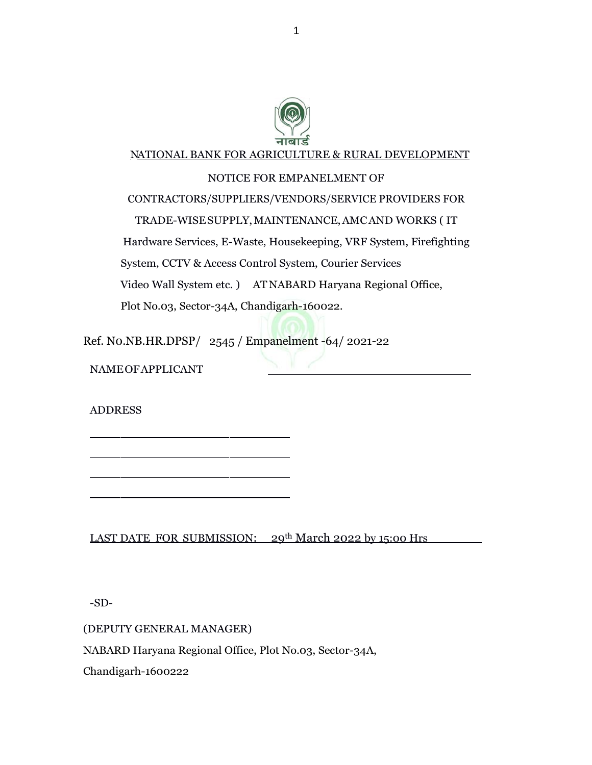

#### NATIONAL BANK FOR AGRICULTURE & RURAL DEVELOPMENT

#### NOTICE FOR EMPANELMENT OF

CONTRACTORS/SUPPLIERS/VENDORS/SERVICE PROVIDERS FOR TRADE-WISESUPPLY,MAINTENANCE,AMCAND WORKS ( IT Hardware Services, E-Waste, Housekeeping, VRF System, Firefighting System, CCTV & Access Control System, Courier Services Video Wall System etc. ) ATNABARD Haryana Regional Office, Plot No.03, Sector-34A, Chandigarh-160022.

Ref. N0.NB.HR.DPSP/ 2545 / Empanelment -64/ 2021-22

NAMEOFAPPLICANT

ADDRESS

LAST DATE FOR SUBMISSION: 29th March 2022 by 15:00 Hrs

-SD-

(DEPUTY GENERAL MANAGER)

NABARD Haryana Regional Office, Plot No.03, Sector-34A,

Chandigarh-1600222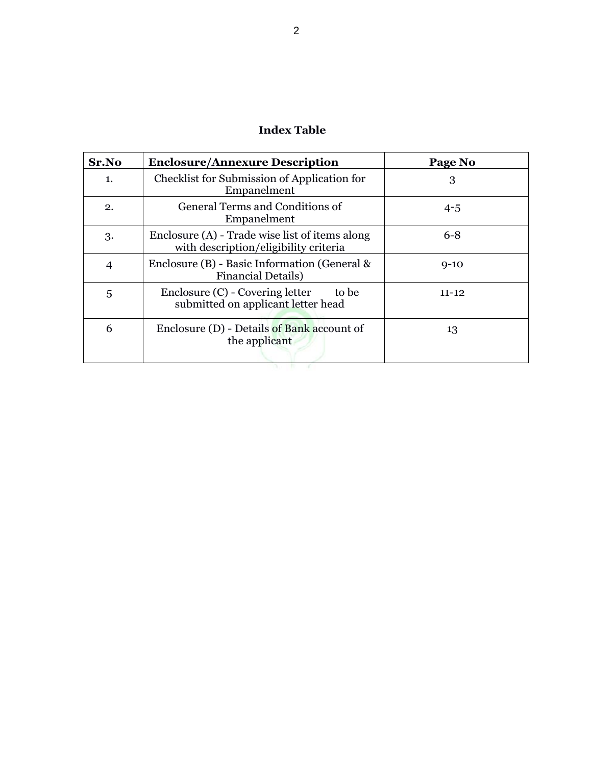| Sr.No          | <b>Enclosure/Annexure Description</b>                                                   | Page No   |
|----------------|-----------------------------------------------------------------------------------------|-----------|
| 1.             | Checklist for Submission of Application for<br>Empanelment                              | 3         |
| 2.             | General Terms and Conditions of<br>Empanelment                                          | $4 - 5$   |
| 3.             | Enclosure (A) - Trade wise list of items along<br>with description/eligibility criteria | $6 - 8$   |
| $\overline{4}$ | Enclosure $(B)$ - Basic Information (General &<br><b>Financial Details</b> )            | $9 - 10$  |
| 5              | Enclosure (C) - Covering letter<br>to be<br>submitted on applicant letter head          | $11 - 12$ |
| 6              | Enclosure (D) - Details of Bank account of<br>the applicant                             | 13        |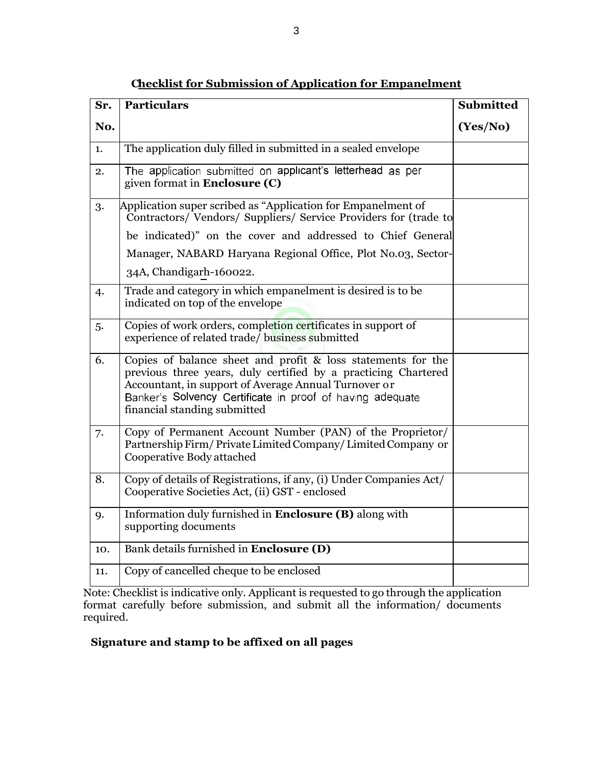| Sr. | <b>Particulars</b>                                                                                                                                                                                                                                                                     | <b>Submitted</b> |
|-----|----------------------------------------------------------------------------------------------------------------------------------------------------------------------------------------------------------------------------------------------------------------------------------------|------------------|
| No. |                                                                                                                                                                                                                                                                                        | (Yes/No)         |
| 1.  | The application duly filled in submitted in a sealed envelope                                                                                                                                                                                                                          |                  |
| 2.  | The application submitted on applicant's letterhead as per<br>given format in Enclosure (C)                                                                                                                                                                                            |                  |
| 3.  | Application super scribed as "Application for Empanelment of<br>Contractors/Vendors/Suppliers/Service Providers for (trade to                                                                                                                                                          |                  |
|     | be indicated)" on the cover and addressed to Chief General                                                                                                                                                                                                                             |                  |
|     | Manager, NABARD Haryana Regional Office, Plot No.03, Sector-                                                                                                                                                                                                                           |                  |
|     | 34A, Chandigarh-160022.                                                                                                                                                                                                                                                                |                  |
| 4.  | Trade and category in which empanelment is desired is to be<br>indicated on top of the envelope                                                                                                                                                                                        |                  |
| 5.  | Copies of work orders, completion certificates in support of<br>experience of related trade/ business submitted                                                                                                                                                                        |                  |
| 6.  | Copies of balance sheet and profit $\&$ loss statements for the<br>previous three years, duly certified by a practicing Chartered<br>Accountant, in support of Average Annual Turnover or<br>Banker's Solvency Certificate in proof of having adequate<br>financial standing submitted |                  |
| 7.  | Copy of Permanent Account Number (PAN) of the Proprietor/<br>Partnership Firm/Private Limited Company/Limited Company or<br>Cooperative Body attached                                                                                                                                  |                  |
| 8.  | Copy of details of Registrations, if any, (i) Under Companies Act/<br>Cooperative Societies Act, (ii) GST - enclosed                                                                                                                                                                   |                  |
| 9.  | Information duly furnished in Enclosure (B) along with<br>supporting documents                                                                                                                                                                                                         |                  |
| 10. | Bank details furnished in Enclosure (D)                                                                                                                                                                                                                                                |                  |
| 11. | Copy of cancelled cheque to be enclosed                                                                                                                                                                                                                                                |                  |

**Checklist for Submission of Application for Empanelment**

Note: Checklist is indicative only. Applicant is requested to go through the application format carefully before submission, and submit all the information/ documents required.

#### **Signature and stamp to be affixed on all pages**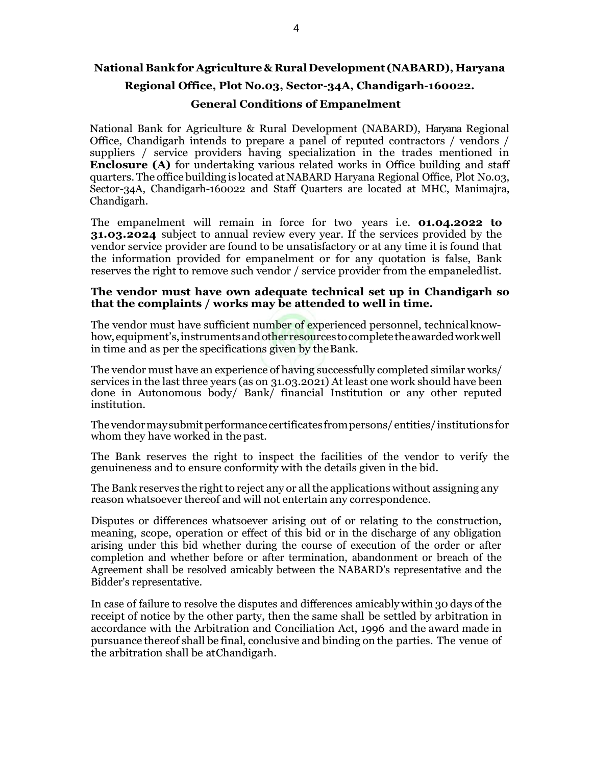## **National Bankfor Agriculture &RuralDevelopment (NABARD), Haryana Regional Office, Plot No.03, Sector-34A, Chandigarh-160022. General Conditions of Empanelment**

National Bank for Agriculture & Rural Development (NABARD), Haryana Regional Office, Chandigarh intends to prepare a panel of reputed contractors / vendors / suppliers / service providers having specialization in the trades mentioned in **Enclosure (A)** for undertaking various related works in Office building and staff quarters.The office building is located atNABARD Haryana Regional Office, Plot No.03, Sector-34A, Chandigarh-160022 and Staff Quarters are located at MHC, Manimajra, Chandigarh.

The empanelment will remain in force for two years i.e. **01.04.2022 to 31.03.2024** subject to annual review every year. If the services provided by the vendor service provider are found to be unsatisfactory or at any time it is found that the information provided for empanelment or for any quotation is false, Bank reserves the right to remove such vendor / service provider from the empaneledlist.

#### **The vendor must have own adequate technical set up in Chandigarh so that the complaints / works may be attended to well in time.**

The vendor must have sufficient number of experienced personnel, technicalknowhow, equipment's, instruments and other resources to complete the awarded work well in time and as per the specifications given by theBank.

The vendor must have an experience of having successfully completed similar works/ services in the last three years (as on 31.03.2021) At least one work should have been done in Autonomous body/ Bank/ financial Institution or any other reputed institution.

The vendormay submit performance certificates from persons/entities/institutions for whom they have worked in the past.

The Bank reserves the right to inspect the facilities of the vendor to verify the genuineness and to ensure conformity with the details given in the bid.

The Bank reserves the right to reject any or all the applications without assigning any reason whatsoever thereof and will not entertain any correspondence.

Disputes or differences whatsoever arising out of or relating to the construction, meaning, scope, operation or effect of this bid or in the discharge of any obligation arising under this bid whether during the course of execution of the order or after completion and whether before or after termination, abandonment or breach of the Agreement shall be resolved amicably between the NABARD's representative and the Bidder's representative.

In case of failure to resolve the disputes and differences amicably within 30 days of the receipt of notice by the other party, then the same shall be settled by arbitration in accordance with the Arbitration and Conciliation Act, 1996 and the award made in pursuance thereof shall be final, conclusive and binding on the parties. The venue of the arbitration shall be atChandigarh.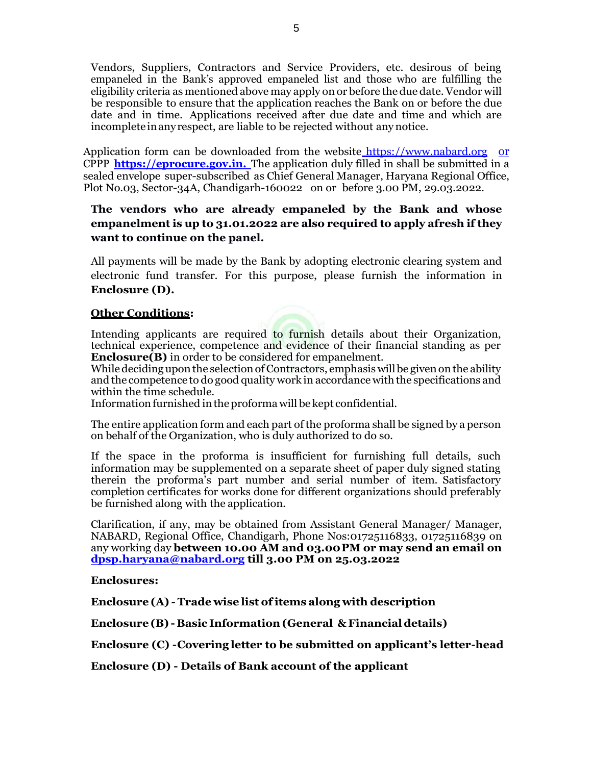Vendors, Suppliers, Contractors and Service Providers, etc. desirous of being empaneled in the Bank's approved empaneled list and those who are fulfilling the eligibility criteria as mentioned above may apply on or before the due date.Vendor will be responsible to ensure that the application reaches the Bank on or before the due date and in time. Applications received after due date and time and which are incompleteinanyrespect, are liable to be rejected without anynotice.

Application form can be downloaded from the website https:/[/www.nabard.org](http://www.nabard.org/) or CPPP **[https://eprocure.gov.in.](https://eprocure.gov.in/)** The application duly filled in shall be submitted in a sealed envelope super-subscribed as Chief General Manager, Haryana Regional Office, Plot No.03, Sector-34A, Chandigarh-160022 on or before 3.00 PM, 29.03.2022.

#### **The vendors who are already empaneled by the Bank and whose empanelment is up to 31.01.2022 are also required to apply afresh if they want to continue on the panel.**

All payments will be made by the Bank by adopting electronic clearing system and electronic fund transfer. For this purpose, please furnish the information in **Enclosure (D).**

#### **Other Conditions:**

Intending applicants are required to furnish details about their Organization, technical experience, competence and evidence of their financial standing as per **Enclosure(B)** in order to be considered for empanelment.

While deciding upon the selection of Contractors, emphasis will be given on the ability and the competence to do good quality work in accordance with the specifications and within the time schedule.

Information furnished in the proforma will be kept confidential.

The entire application form and each part of the proforma shall be signed by a person on behalf of the Organization, who is duly authorized to do so.

If the space in the proforma is insufficient for furnishing full details, such information may be supplemented on a separate sheet of paper duly signed stating therein the proforma's part number and serial number of item. Satisfactory completion certificates for works done for different organizations should preferably be furnished along with the application.

Clarification, if any, may be obtained from Assistant General Manager/ Manager, NABARD, Regional Office, Chandigarh, Phone Nos:01725116833, 01725116839 on any working day **between 10.00 AM and 03.00PM or may send an email on [dpsp.haryana@nabard.org](mailto:dpsp.haryana@nabard.org) till 3.00 PM on 25.03.2022** 

#### **Enclosures:**

**Enclosure (A) - Trade wise list ofitems along with description** 

**Enclosure (B) - Basic Information(General & Financial details)**

**Enclosure (C) -Covering letter to be submitted on applicant's letter-head**

**Enclosure (D) - Details of Bank account of the applicant**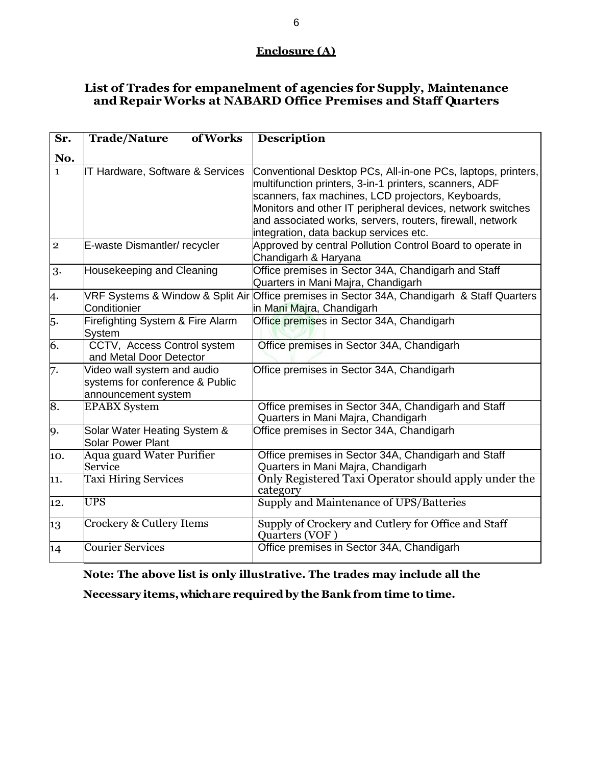## **Enclosure (A)**

## **List of Trades for empanelment of agencies for Supply, Maintenance and RepairWorks at NABARD Office Premises and Staff Quarters**

| Sr.            | of Works<br><b>Trade/Nature</b>                                                       | <b>Description</b>                                                                                                                                                                                                                                                                                                                                |
|----------------|---------------------------------------------------------------------------------------|---------------------------------------------------------------------------------------------------------------------------------------------------------------------------------------------------------------------------------------------------------------------------------------------------------------------------------------------------|
| No.            |                                                                                       |                                                                                                                                                                                                                                                                                                                                                   |
| $\mathbf{1}$   | IT Hardware, Software & Services                                                      | Conventional Desktop PCs, All-in-one PCs, laptops, printers,<br>multifunction printers, 3-in-1 printers, scanners, ADF<br>scanners, fax machines, LCD projectors, Keyboards,<br>Monitors and other IT peripheral devices, network switches<br>and associated works, servers, routers, firewall, network<br>integration, data backup services etc. |
| $\overline{2}$ | E-waste Dismantler/recycler                                                           | Approved by central Pollution Control Board to operate in<br>Chandigarh & Haryana                                                                                                                                                                                                                                                                 |
| 3.             | Housekeeping and Cleaning                                                             | Office premises in Sector 34A, Chandigarh and Staff<br>Quarters in Mani Majra, Chandigarh                                                                                                                                                                                                                                                         |
| 4.             | Conditionier                                                                          | VRF Systems & Window & Split Air Office premises in Sector 34A, Chandigarh & Staff Quarters<br>in Mani Majra, Chandigarh                                                                                                                                                                                                                          |
| 5.             | Firefighting System & Fire Alarm<br>System                                            | Office premises in Sector 34A, Chandigarh                                                                                                                                                                                                                                                                                                         |
| 6.             | CCTV, Access Control system<br>and Metal Door Detector                                | Office premises in Sector 34A, Chandigarh                                                                                                                                                                                                                                                                                                         |
| 7.             | Video wall system and audio<br>systems for conference & Public<br>announcement system | Office premises in Sector 34A, Chandigarh                                                                                                                                                                                                                                                                                                         |
| 8.             | <b>EPABX</b> System                                                                   | Office premises in Sector 34A, Chandigarh and Staff<br>Quarters in Mani Majra, Chandigarh                                                                                                                                                                                                                                                         |
| 9.             | Solar Water Heating System &<br><b>Solar Power Plant</b>                              | Office premises in Sector 34A, Chandigarh                                                                                                                                                                                                                                                                                                         |
| 10.            | Aqua guard Water Purifier<br>Service                                                  | Office premises in Sector 34A, Chandigarh and Staff<br>Quarters in Mani Majra, Chandigarh                                                                                                                                                                                                                                                         |
| 11.            | <b>Taxi Hiring Services</b>                                                           | Only Registered Taxi Operator should apply under the<br>category                                                                                                                                                                                                                                                                                  |
| 12.            | <b>UPS</b>                                                                            | Supply and Maintenance of UPS/Batteries                                                                                                                                                                                                                                                                                                           |
| 13             | Crockery & Cutlery Items                                                              | Supply of Crockery and Cutlery for Office and Staff<br>Quarters (VOF)                                                                                                                                                                                                                                                                             |
| 14             | <b>Courier Services</b>                                                               | Office premises in Sector 34A, Chandigarh                                                                                                                                                                                                                                                                                                         |

**Note: The above list is only illustrative. The trades may include all the** 

**Necessary items, whichare required by the Bank from time to time.**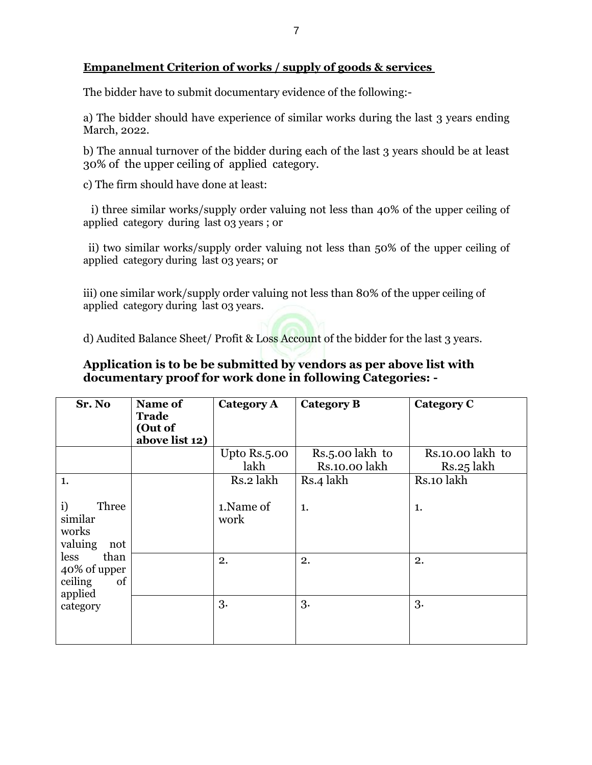## **Empanelment Criterion of works / supply of goods & services**

The bidder have to submit documentary evidence of the following:-

a) The bidder should have experience of similar works during the last 3 years ending March, 2022.

b) The annual turnover of the bidder during each of the last 3 years should be at least 30% of the upper ceiling of applied category.

c) The firm should have done at least:

 i) three similar works/supply order valuing not less than 40% of the upper ceiling of applied category during last 03 years ; or

ii) two similar works/supply order valuing not less than 50% of the upper ceiling of applied category during last 03 years; or

iii) one similar work/supply order valuing not less than 80% of the upper ceiling of applied category during last 03 years.

d) Audited Balance Sheet/ Profit & Loss Account of the bidder for the last 3 years.

## **Application is to be be submitted by vendors as per above list with documentary proof for work done in following Categories: -**

| Sr. No                                                   | Name of<br><b>Trade</b><br>(Out of<br>above list 12) | Category A           | <b>Category B</b>                             | Category C                     |
|----------------------------------------------------------|------------------------------------------------------|----------------------|-----------------------------------------------|--------------------------------|
|                                                          |                                                      | Upto Rs.5.00<br>lakh | Rs. <sub>5</sub> .00 lakh to<br>Rs.10.00 lakh | Rs.10.00 lakh to<br>Rs.25 lakh |
| 1.                                                       |                                                      | Rs.2 lakh            | Rs.4 lakh                                     | Rs.10 lakh                     |
| i)<br>Three<br>similar<br>works<br>valuing<br>not        |                                                      | 1. Name of<br>work   | 1.                                            | 1.                             |
| than<br>less<br>40% of upper<br>ceiling<br>of<br>applied |                                                      | 2.                   | 2.                                            | 2.                             |
| category                                                 |                                                      | 3.                   | 3.                                            | 3.                             |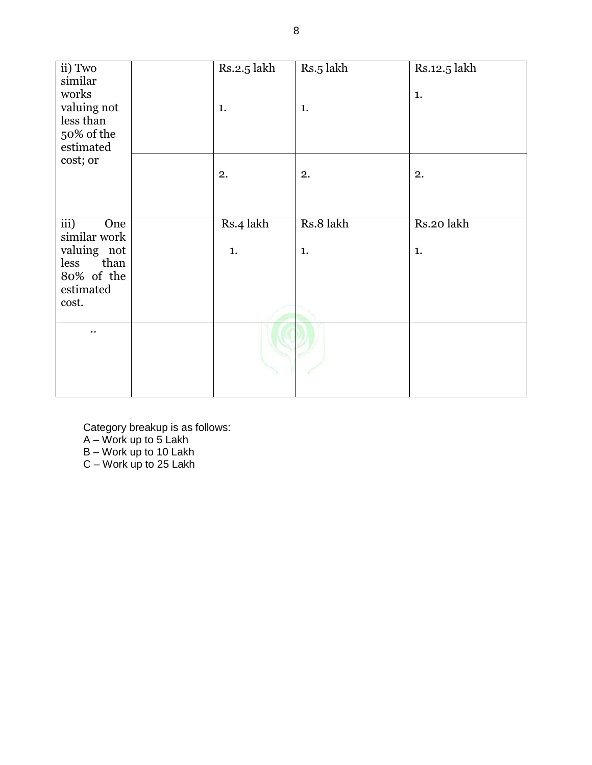| ii) Two                                 | Rs.2.5 lakh | Rs.5 lakh | Rs.12.5 lakh |
|-----------------------------------------|-------------|-----------|--------------|
| similar<br>works                        |             |           | 1.           |
| valuing not                             | 1.          | 1.        |              |
| less than<br>50% of the                 |             |           |              |
| estimated                               |             |           |              |
| cost; or                                |             |           |              |
|                                         | 2.          | 2.        | 2.           |
|                                         |             |           |              |
|                                         |             |           |              |
| $\overline{iii}$<br>One<br>similar work | Rs.4 lakh   | Rs.8 lakh | Rs.20 lakh   |
| valuing not                             | 1.          | 1.        | 1.           |
| than<br>less                            |             |           |              |
| 80% of the<br>estimated                 |             |           |              |
| cost.                                   |             |           |              |
|                                         |             |           |              |
| $\ddot{\phantom{0}}$                    |             |           |              |
|                                         |             |           |              |
|                                         |             |           |              |

Category breakup is as follows: A – Work up to 5 Lakh B – Work up to 10 Lakh C – Work up to 25 Lakh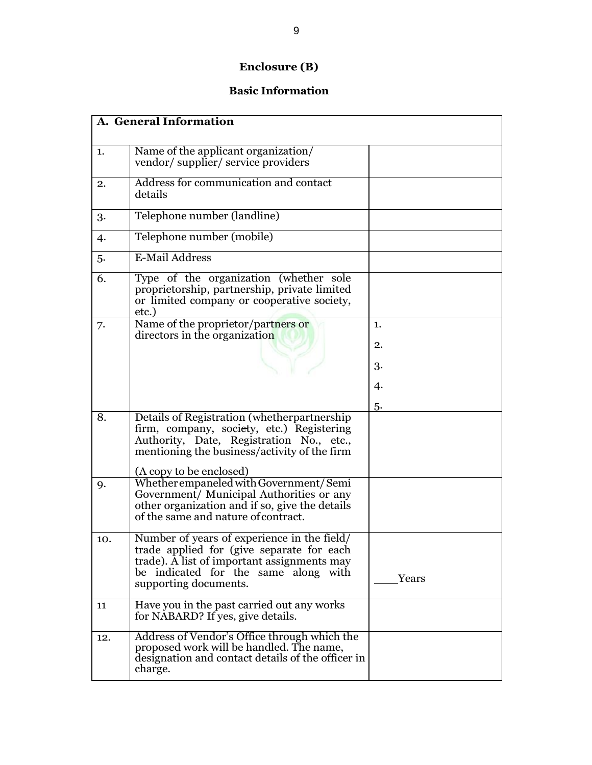## **Enclosure (B)**

## **Basic Information**

| A. General Information |                                                                                                                                                                                                          |       |  |
|------------------------|----------------------------------------------------------------------------------------------------------------------------------------------------------------------------------------------------------|-------|--|
| 1.                     | Name of the applicant organization/<br>vendor/supplier/service providers                                                                                                                                 |       |  |
| 2.                     | Address for communication and contact<br>details                                                                                                                                                         |       |  |
| 3.                     | Telephone number (landline)                                                                                                                                                                              |       |  |
| 4.                     | Telephone number (mobile)                                                                                                                                                                                |       |  |
| 5.                     | E-Mail Address                                                                                                                                                                                           |       |  |
| 6.                     | Type of the organization (whether sole<br>proprietorship, partnership, private limited<br>or limited company or cooperative society,<br>etc.)                                                            |       |  |
| 7.                     | Name of the proprietor/partners or<br>directors in the organization                                                                                                                                      | 1.    |  |
|                        |                                                                                                                                                                                                          | 2.    |  |
|                        |                                                                                                                                                                                                          | 3.    |  |
|                        |                                                                                                                                                                                                          | 4.    |  |
|                        |                                                                                                                                                                                                          | 5.    |  |
| 8.                     | Details of Registration (whetherpartnership<br>firm, company, society, etc.) Registering<br>Authority, Date, Registration No., etc.,<br>mentioning the business/activity of the firm                     |       |  |
|                        | (A copy to be enclosed)                                                                                                                                                                                  |       |  |
| 9.                     | Whether empaneled with Government/Semi<br>Government/ Municipal Authorities or any<br>other organization and if so, give the details<br>of the same and nature of contract.                              |       |  |
| 10.                    | Number of years of experience in the field/<br>trade applied for (give separate for each<br>trade). A list of important assignments may<br>be indicated for the same along with<br>supporting documents. | Years |  |
| 11                     | Have you in the past carried out any works<br>for NABARD? If yes, give details.                                                                                                                          |       |  |
| 12.                    | Address of Vendor's Office through which the<br>proposed work will be handled. The name,<br>designation and contact details of the officer in<br>charge.                                                 |       |  |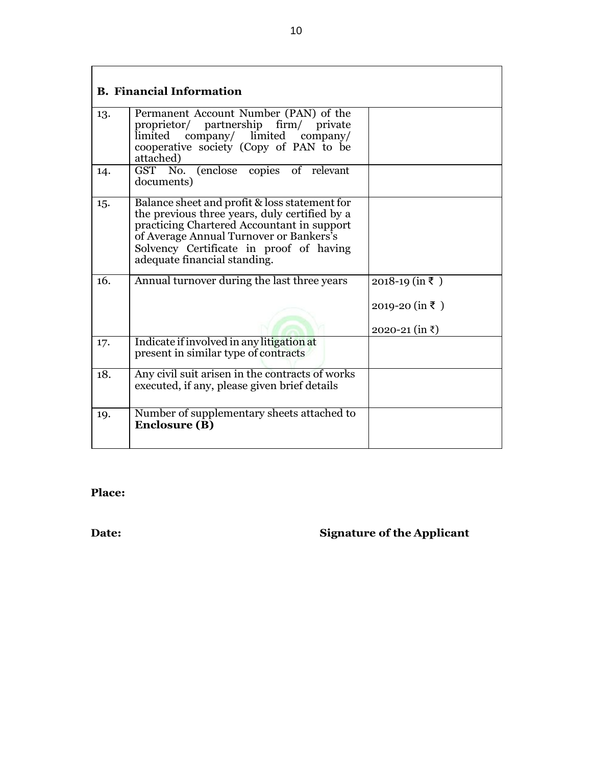| <b>B. Financial Information</b> |                                                                                                                                                                                                                                                                    |                                                      |  |  |
|---------------------------------|--------------------------------------------------------------------------------------------------------------------------------------------------------------------------------------------------------------------------------------------------------------------|------------------------------------------------------|--|--|
| 13.                             | Permanent Account Number (PAN) of the<br>proprietor/ partnership firm/ private<br>limited company/ limited company/<br>cooperative society (Copy of PAN to be<br>attached)                                                                                         |                                                      |  |  |
| 14.                             | GST No. (enclose copies of relevant<br>documents)                                                                                                                                                                                                                  |                                                      |  |  |
| 15.                             | Balance sheet and profit & loss statement for<br>the previous three years, duly certified by a<br>practicing Chartered Accountant in support<br>of Average Annual Turnover or Bankers's<br>Solvency Certificate in proof of having<br>adequate financial standing. |                                                      |  |  |
| 16.                             | Annual turnover during the last three years                                                                                                                                                                                                                        | $2018-19$ (in ₹)<br>2019-20 (in ₹)<br>2020-21 (in ₹) |  |  |
| 17.                             | Indicate if involved in any litigation at<br>present in similar type of contracts                                                                                                                                                                                  |                                                      |  |  |
| 18.                             | Any civil suit arisen in the contracts of works<br>executed, if any, please given brief details                                                                                                                                                                    |                                                      |  |  |
| 19.                             | Number of supplementary sheets attached to<br><b>Enclosure (B)</b>                                                                                                                                                                                                 |                                                      |  |  |

**Place:**

# **Date: Signature of the Applicant**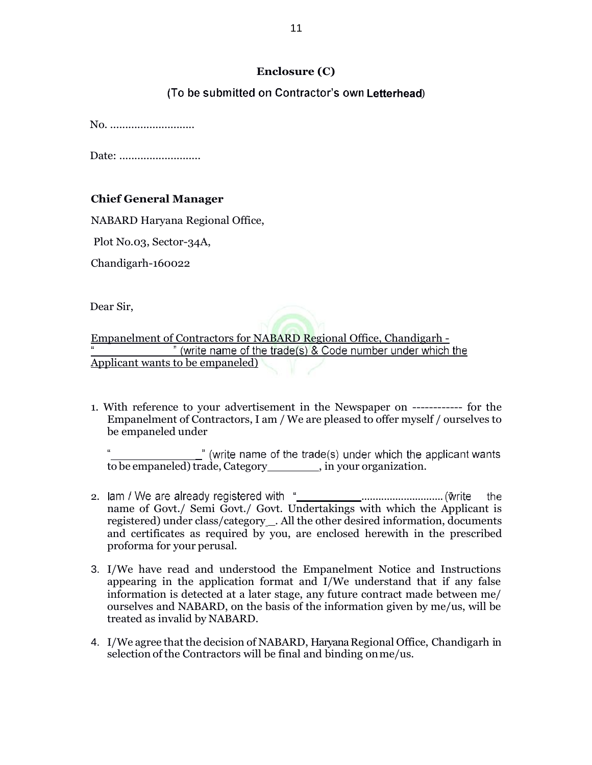#### **Enclosure (C)**

#### (To be submitted on Contractor's own Letterhead)

No. ..............................

Date: ...........................

#### **Chief General Manager**

NABARD Haryana Regional Office,

Plot No.03, Sector-34A,

Chandigarh-160022

Dear Sir,

Empanelment of Contractors for NABARD Regional Office, Chandigarh -<br>" (write name of the trade(s) & Code number under which the Applicant wants to be empaneled)

1. With reference to your advertisement in the Newspaper on ------------ for the Empanelment of Contractors, I am / We are pleased to offer myself / ourselves to be empaneled under

" (write name of the trade(s) under which the applicant wants to be empaneled) trade, Category \_\_\_\_\_\_\_, in your organization.

- 2. ............................. the name of Govt./ Semi Govt./ Govt. Undertakings with which the Applicant is registered) under class/category \_. All the other desired information, documents and certificates as required by you, are enclosed herewith in the prescribed proforma for your perusal.
- 3. I/We have read and understood the Empanelment Notice and Instructions appearing in the application format and I/We understand that if any false information is detected at a later stage, any future contract made between me/ ourselves and NABARD, on the basis of the information given by me/us, will be treated as invalid by NABARD.
- 4. I/We agree that the decision of NABARD, Haryana Regional Office, Chandigarh in selection of the Contractors will be final and binding on me/us.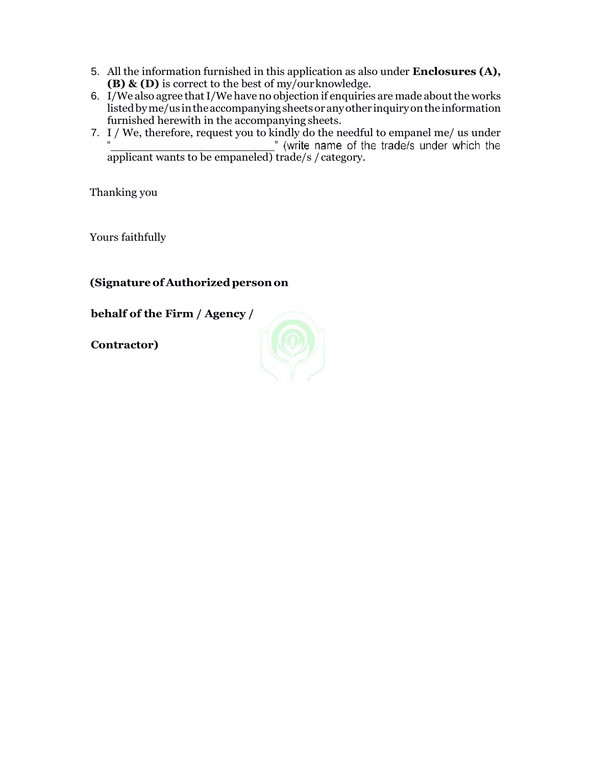- 5. All the information furnished in this application as also under **Enclosures (A), (B) & (D)** is correct to the best of my/ourknowledge.
- 6. I/We also agree that I/We have no objection if enquiries are made about the works listedbyme/us intheaccompanyingsheetsoranyother inquiryonthe information furnished herewith in the accompanying sheets.
- 7. I / We, therefore, request you to kindly do the needful to empanel me/ us under applicant wants to be empaneled) trade/s / category.

Thanking you

Yours faithfully

**(Signatureof Authorizedpersonon**

**behalf of the Firm / Agency /**

**Contractor)**